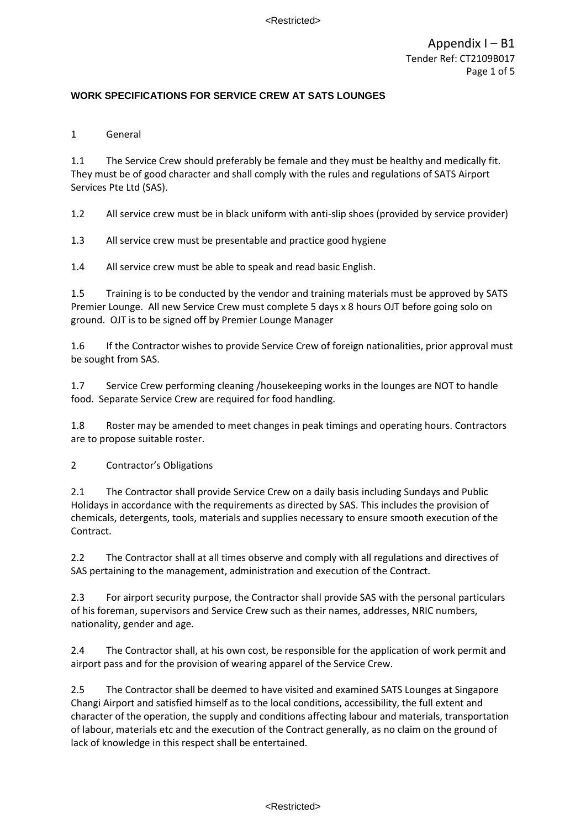## **WORK SPECIFICATIONS FOR SERVICE CREW AT SATS LOUNGES**

1 General

1.1 The Service Crew should preferably be female and they must be healthy and medically fit. They must be of good character and shall comply with the rules and regulations of SATS Airport Services Pte Ltd (SAS).

1.2 All service crew must be in black uniform with anti-slip shoes (provided by service provider)

1.3 All service crew must be presentable and practice good hygiene

1.4 All service crew must be able to speak and read basic English.

1.5 Training is to be conducted by the vendor and training materials must be approved by SATS Premier Lounge. All new Service Crew must complete 5 days x 8 hours OJT before going solo on ground. OJT is to be signed off by Premier Lounge Manager

1.6 If the Contractor wishes to provide Service Crew of foreign nationalities, prior approval must be sought from SAS.

1.7 Service Crew performing cleaning /housekeeping works in the lounges are NOT to handle food. Separate Service Crew are required for food handling.

1.8 Roster may be amended to meet changes in peak timings and operating hours. Contractors are to propose suitable roster.

2 Contractor's Obligations

2.1 The Contractor shall provide Service Crew on a daily basis including Sundays and Public Holidays in accordance with the requirements as directed by SAS. This includes the provision of chemicals, detergents, tools, materials and supplies necessary to ensure smooth execution of the Contract.

2.2 The Contractor shall at all times observe and comply with all regulations and directives of SAS pertaining to the management, administration and execution of the Contract.

2.3 For airport security purpose, the Contractor shall provide SAS with the personal particulars of his foreman, supervisors and Service Crew such as their names, addresses, NRIC numbers, nationality, gender and age.

2.4 The Contractor shall, at his own cost, be responsible for the application of work permit and airport pass and for the provision of wearing apparel of the Service Crew.

2.5 The Contractor shall be deemed to have visited and examined SATS Lounges at Singapore Changi Airport and satisfied himself as to the local conditions, accessibility, the full extent and character of the operation, the supply and conditions affecting labour and materials, transportation of labour, materials etc and the execution of the Contract generally, as no claim on the ground of lack of knowledge in this respect shall be entertained.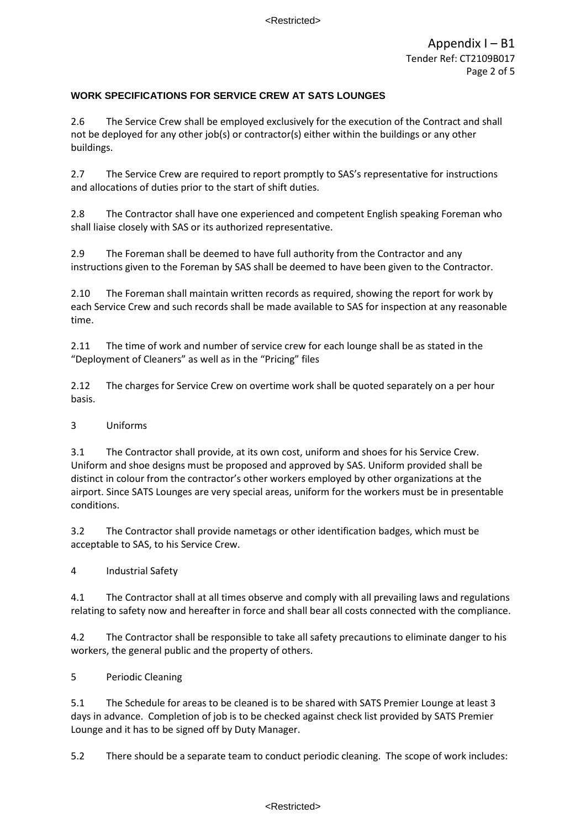# **WORK SPECIFICATIONS FOR SERVICE CREW AT SATS LOUNGES**

2.6 The Service Crew shall be employed exclusively for the execution of the Contract and shall not be deployed for any other job(s) or contractor(s) either within the buildings or any other buildings.

2.7 The Service Crew are required to report promptly to SAS's representative for instructions and allocations of duties prior to the start of shift duties.

2.8 The Contractor shall have one experienced and competent English speaking Foreman who shall liaise closely with SAS or its authorized representative.

2.9 The Foreman shall be deemed to have full authority from the Contractor and any instructions given to the Foreman by SAS shall be deemed to have been given to the Contractor.

2.10 The Foreman shall maintain written records as required, showing the report for work by each Service Crew and such records shall be made available to SAS for inspection at any reasonable time.

2.11 The time of work and number of service crew for each lounge shall be as stated in the "Deployment of Cleaners" as well as in the "Pricing" files

2.12 The charges for Service Crew on overtime work shall be quoted separately on a per hour basis.

3 Uniforms

3.1 The Contractor shall provide, at its own cost, uniform and shoes for his Service Crew. Uniform and shoe designs must be proposed and approved by SAS. Uniform provided shall be distinct in colour from the contractor's other workers employed by other organizations at the airport. Since SATS Lounges are very special areas, uniform for the workers must be in presentable conditions.

3.2 The Contractor shall provide nametags or other identification badges, which must be acceptable to SAS, to his Service Crew.

4 Industrial Safety

4.1 The Contractor shall at all times observe and comply with all prevailing laws and regulations relating to safety now and hereafter in force and shall bear all costs connected with the compliance.

4.2 The Contractor shall be responsible to take all safety precautions to eliminate danger to his workers, the general public and the property of others.

5 Periodic Cleaning

5.1 The Schedule for areas to be cleaned is to be shared with SATS Premier Lounge at least 3 days in advance. Completion of job is to be checked against check list provided by SATS Premier Lounge and it has to be signed off by Duty Manager.

5.2 There should be a separate team to conduct periodic cleaning. The scope of work includes: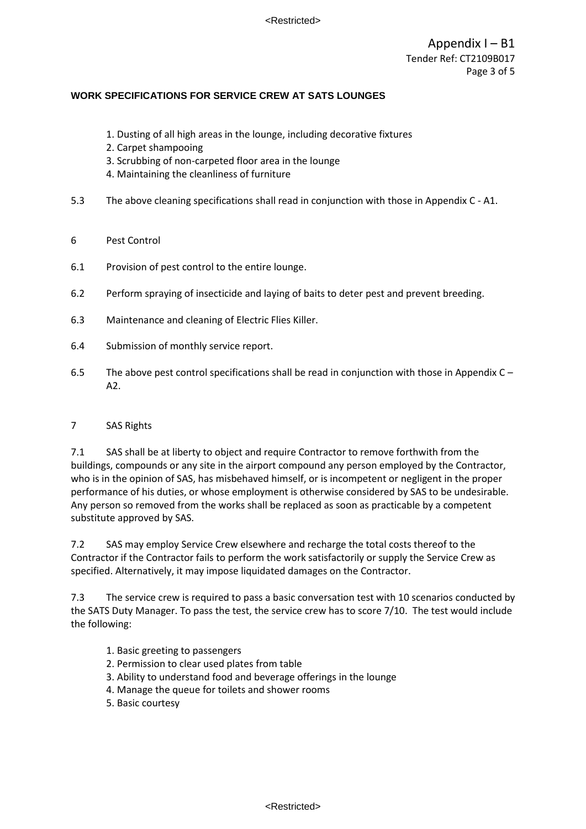<Restricted>

# **WORK SPECIFICATIONS FOR SERVICE CREW AT SATS LOUNGES**

- 1. Dusting of all high areas in the lounge, including decorative fixtures
- 2. Carpet shampooing
- 3. Scrubbing of non-carpeted floor area in the lounge
- 4. Maintaining the cleanliness of furniture
- 5.3 The above cleaning specifications shall read in conjunction with those in Appendix C A1.
- 6 Pest Control
- 6.1 Provision of pest control to the entire lounge.
- 6.2 Perform spraying of insecticide and laying of baits to deter pest and prevent breeding.
- 6.3 Maintenance and cleaning of Electric Flies Killer.
- 6.4 Submission of monthly service report.
- 6.5 The above pest control specifications shall be read in conjunction with those in Appendix C A2.

## 7 SAS Rights

7.1 SAS shall be at liberty to object and require Contractor to remove forthwith from the buildings, compounds or any site in the airport compound any person employed by the Contractor, who is in the opinion of SAS, has misbehaved himself, or is incompetent or negligent in the proper performance of his duties, or whose employment is otherwise considered by SAS to be undesirable. Any person so removed from the works shall be replaced as soon as practicable by a competent substitute approved by SAS.

7.2 SAS may employ Service Crew elsewhere and recharge the total costs thereof to the Contractor if the Contractor fails to perform the work satisfactorily or supply the Service Crew as specified. Alternatively, it may impose liquidated damages on the Contractor.

7.3 The service crew is required to pass a basic conversation test with 10 scenarios conducted by the SATS Duty Manager. To pass the test, the service crew has to score 7/10. The test would include the following:

- 1. Basic greeting to passengers
- 2. Permission to clear used plates from table
- 3. Ability to understand food and beverage offerings in the lounge
- 4. Manage the queue for toilets and shower rooms
- 5. Basic courtesy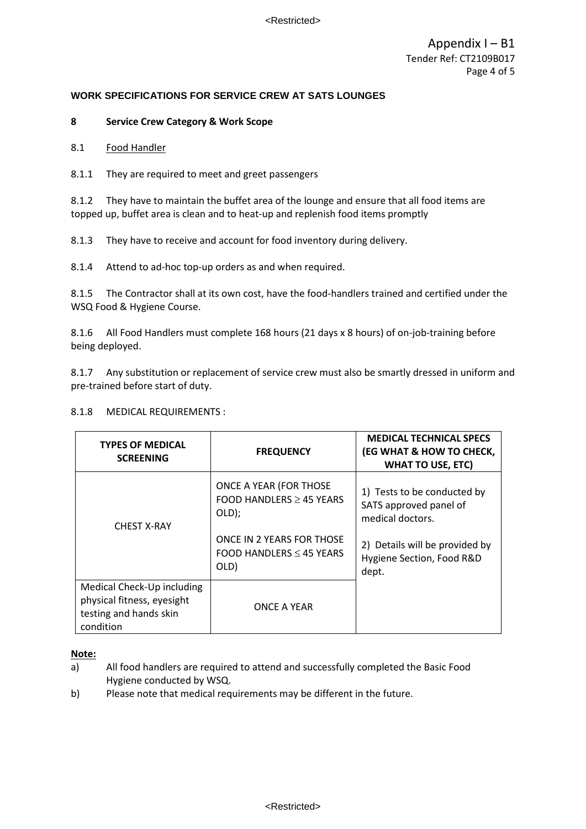<Restricted>

### **WORK SPECIFICATIONS FOR SERVICE CREW AT SATS LOUNGES**

### **8 Service Crew Category & Work Scope**

#### 8.1 Food Handler

8.1.1 They are required to meet and greet passengers

8.1.2 They have to maintain the buffet area of the lounge and ensure that all food items are topped up, buffet area is clean and to heat-up and replenish food items promptly

8.1.3 They have to receive and account for food inventory during delivery.

8.1.4 Attend to ad-hoc top-up orders as and when required.

8.1.5 The Contractor shall at its own cost, have the food-handlers trained and certified under the WSQ Food & Hygiene Course.

8.1.6 All Food Handlers must complete 168 hours (21 days x 8 hours) of on-job-training before being deployed.

8.1.7 Any substitution or replacement of service crew must also be smartly dressed in uniform and pre-trained before start of duty.

### 8.1.8 MEDICAL REQUIREMENTS :

| <b>TYPES OF MEDICAL</b><br><b>SCREENING</b>                                                     | <b>FREQUENCY</b>                                                          | <b>MEDICAL TECHNICAL SPECS</b><br><b>(EG WHAT &amp; HOW TO CHECK,</b><br><b>WHAT TO USE, ETC)</b> |
|-------------------------------------------------------------------------------------------------|---------------------------------------------------------------------------|---------------------------------------------------------------------------------------------------|
| <b>CHEST X-RAY</b>                                                                              | ONCE A YEAR (FOR THOSE<br>FOOD HANDLERS $\geq$ 45 YEARS<br>OLD);          | 1) Tests to be conducted by<br>SATS approved panel of<br>medical doctors.                         |
|                                                                                                 | <b>ONCE IN 2 YEARS FOR THOSE</b><br>FOOD HANDLERS $\leq$ 45 YEARS<br>OLD) | 2) Details will be provided by<br>Hygiene Section, Food R&D<br>dept.                              |
| Medical Check-Up including<br>physical fitness, eyesight<br>testing and hands skin<br>condition | ONCE A YEAR                                                               |                                                                                                   |

#### **Note:**

- a) All food handlers are required to attend and successfully completed the Basic Food Hygiene conducted by WSQ.
- b) Please note that medical requirements may be different in the future.